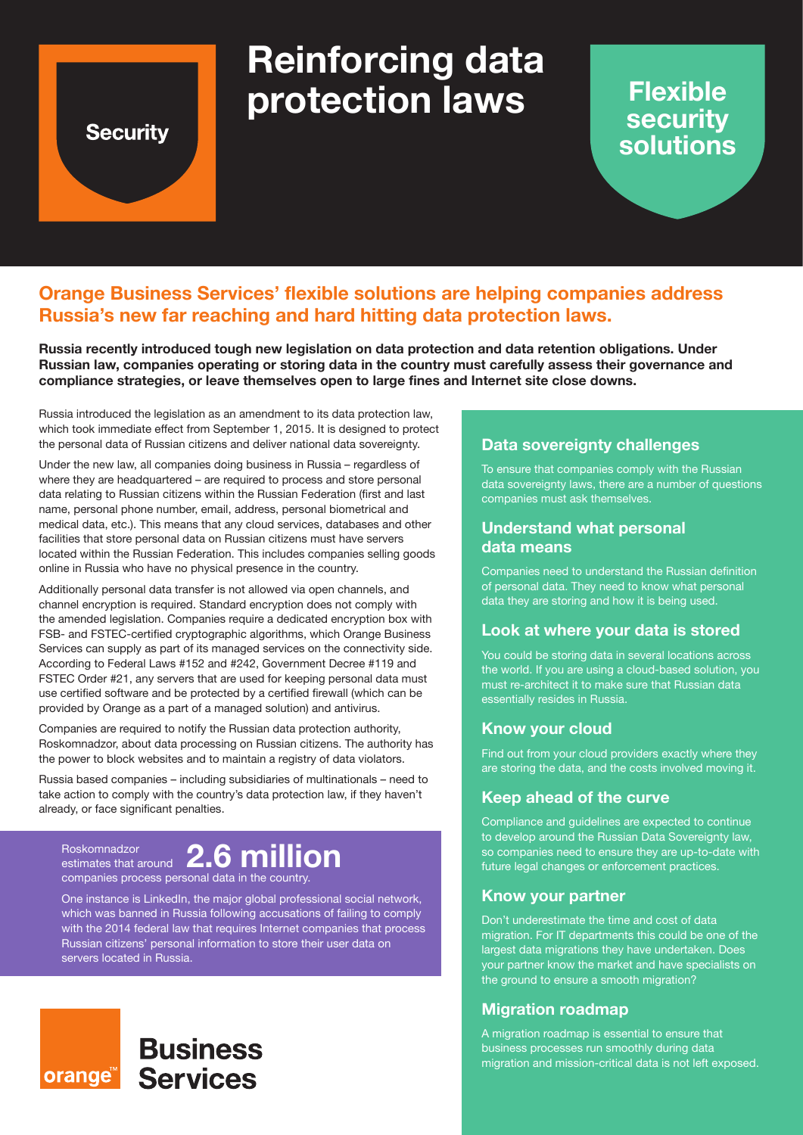# **Security**

# **Reinforcing data protection laws**

# **Flexible security solutions**

# **Orange Business Services' flexible solutions are helping companies address Russia's new far reaching and hard hitting data protection laws.**

**Russia recently introduced tough new legislation on data protection and data retention obligations. Under Russian law, companies operating or storing data in the country must carefully assess their governance and compliance strategies, or leave themselves open to large fines and Internet site close downs.**

Russia introduced the legislation as an amendment to its data protection law, which took immediate effect from September 1, 2015. It is designed to protect the personal data of Russian citizens and deliver national data sovereignty.

Under the new law, all companies doing business in Russia – regardless of where they are headquartered – are required to process and store personal data relating to Russian citizens within the Russian Federation (first and last name, personal phone number, email, address, personal biometrical and medical data, etc.). This means that any cloud services, databases and other facilities that store personal data on Russian citizens must have servers located within the Russian Federation. This includes companies selling goods online in Russia who have no physical presence in the country.

Additionally personal data transfer is not allowed via open channels, and channel encryption is required. Standard encryption does not comply with the amended legislation. Companies require a dedicated encryption box with FSB- and FSTEC-certified cryptographic algorithms, which Orange Business Services can supply as part of its managed services on the connectivity side. According to Federal Laws #152 and #242, Government Decree #119 and FSTEC Order #21, any servers that are used for keeping personal data must use certified software and be protected by a certified firewall (which can be provided by Orange as a part of a managed solution) and antivirus.

Companies are required to notify the Russian data protection authority, Roskomnadzor, about data processing on Russian citizens. The authority has the power to block websites and to maintain a registry of data violators.

Russia based companies – including subsidiaries of multinationals – need to take action to comply with the country's data protection law, if they haven't already, or face significant penalties.

Roskomnadzor estimates that around  **2.6 million**companies process personal data in the country.

One instance is LinkedIn, the major global professional social network, which was banned in Russia following accusations of failing to comply with the 2014 federal law that requires Internet companies that process Russian citizens' personal information to store their user data on servers located in Russia.



#### **Data sovereignty challenges**

To ensure that companies comply with the Russian data sovereignty laws, there are a number of questions companies must ask themselves.

#### **Understand what personal data means**

Companies need to understand the Russian definition of personal data. They need to know what personal data they are storing and how it is being used.

#### **Look at where your data is stored**

You could be storing data in several locations across the world. If you are using a cloud-based solution, you must re-architect it to make sure that Russian data essentially resides in Russia.

#### **Know your cloud**

Find out from your cloud providers exactly where they are storing the data, and the costs involved moving it.

#### **Keep ahead of the curve**

Compliance and guidelines are expected to continue to develop around the Russian Data Sovereignty law, so companies need to ensure they are up-to-date with future legal changes or enforcement practices.

#### **Know your partner**

Don't underestimate the time and cost of data migration. For IT departments this could be one of the largest data migrations they have undertaken. Does your partner know the market and have specialists on the ground to ensure a smooth migration?

#### **Migration roadmap**

A migration roadmap is essential to ensure that business processes run smoothly during data migration and mission-critical data is not left exposed.